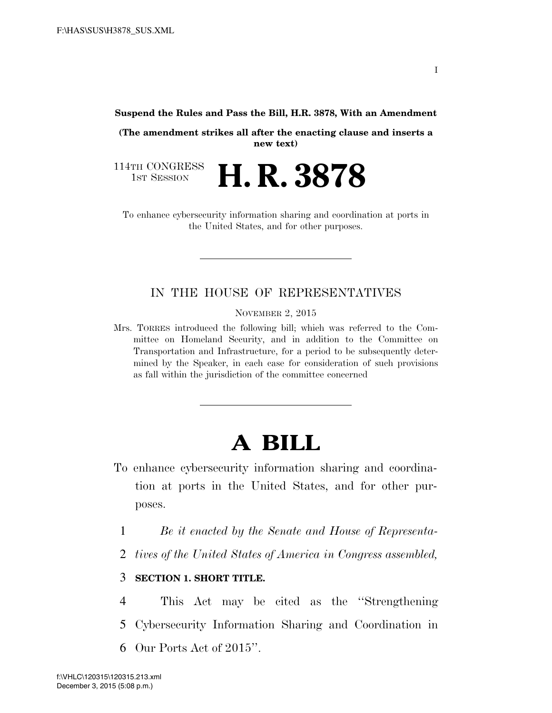#### **Suspend the Rules and Pass the Bill, H.R. 3878, With an Amendment**

**(The amendment strikes all after the enacting clause and inserts a new text)** 

114TH CONGRESS<br>1st Session 1ST SESSION **H. R. 3878**

To enhance cybersecurity information sharing and coordination at ports in the United States, and for other purposes.

### IN THE HOUSE OF REPRESENTATIVES

NOVEMBER 2, 2015

Mrs. TORRES introduced the following bill; which was referred to the Committee on Homeland Security, and in addition to the Committee on Transportation and Infrastructure, for a period to be subsequently determined by the Speaker, in each case for consideration of such provisions as fall within the jurisdiction of the committee concerned

# **A BILL**

To enhance cybersecurity information sharing and coordination at ports in the United States, and for other purposes.

1 *Be it enacted by the Senate and House of Representa-*

2 *tives of the United States of America in Congress assembled,* 

### 3 **SECTION 1. SHORT TITLE.**

4 This Act may be cited as the ''Strengthening 5 Cybersecurity Information Sharing and Coordination in

6 Our Ports Act of 2015''.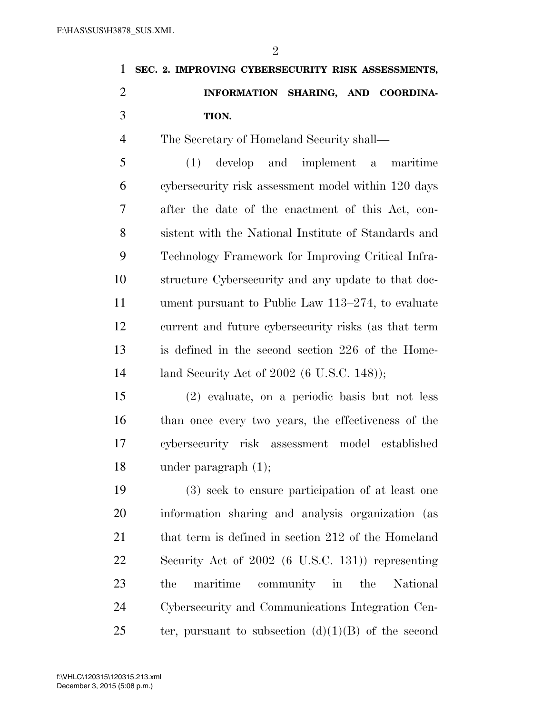$\mathfrak{D}$ 

## **SEC. 2. IMPROVING CYBERSECURITY RISK ASSESSMENTS, INFORMATION SHARING, AND COORDINA-TION.**

The Secretary of Homeland Security shall—

 (1) develop and implement a maritime cybersecurity risk assessment model within 120 days after the date of the enactment of this Act, con- sistent with the National Institute of Standards and Technology Framework for Improving Critical Infra- structure Cybersecurity and any update to that doc- ument pursuant to Public Law 113–274, to evaluate current and future cybersecurity risks (as that term is defined in the second section 226 of the Home-land Security Act of 2002 (6 U.S.C. 148));

 (2) evaluate, on a periodic basis but not less than once every two years, the effectiveness of the cybersecurity risk assessment model established under paragraph (1);

 (3) seek to ensure participation of at least one information sharing and analysis organization (as 21 that term is defined in section 212 of the Homeland Security Act of 2002 (6 U.S.C. 131)) representing the maritime community in the National Cybersecurity and Communications Integration Cen-25 ter, pursuant to subsection  $(d)(1)(B)$  of the second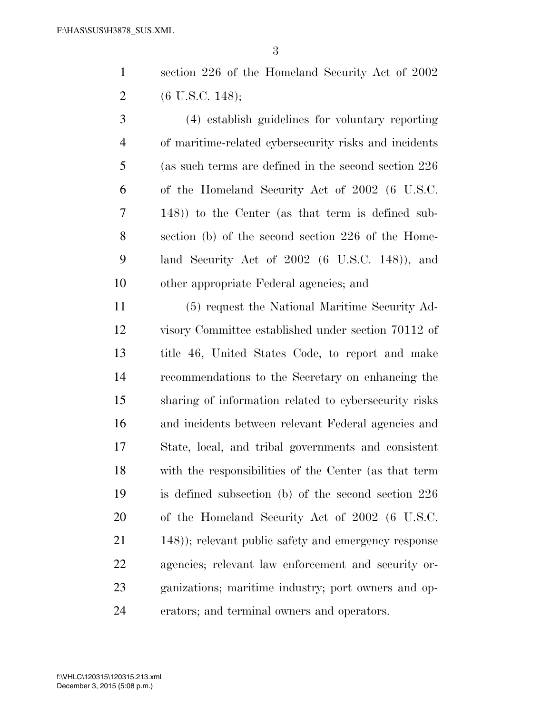section 226 of the Homeland Security Act of 2002 (6 U.S.C. 148);

 (4) establish guidelines for voluntary reporting of maritime-related cybersecurity risks and incidents (as such terms are defined in the second section 226 of the Homeland Security Act of 2002 (6 U.S.C. 148)) to the Center (as that term is defined sub- section (b) of the second section 226 of the Home- land Security Act of 2002 (6 U.S.C. 148)), and other appropriate Federal agencies; and

 (5) request the National Maritime Security Ad- visory Committee established under section 70112 of title 46, United States Code, to report and make recommendations to the Secretary on enhancing the sharing of information related to cybersecurity risks and incidents between relevant Federal agencies and State, local, and tribal governments and consistent with the responsibilities of the Center (as that term is defined subsection (b) of the second section 226 of the Homeland Security Act of 2002 (6 U.S.C. 148)); relevant public safety and emergency response agencies; relevant law enforcement and security or- ganizations; maritime industry; port owners and op-erators; and terminal owners and operators.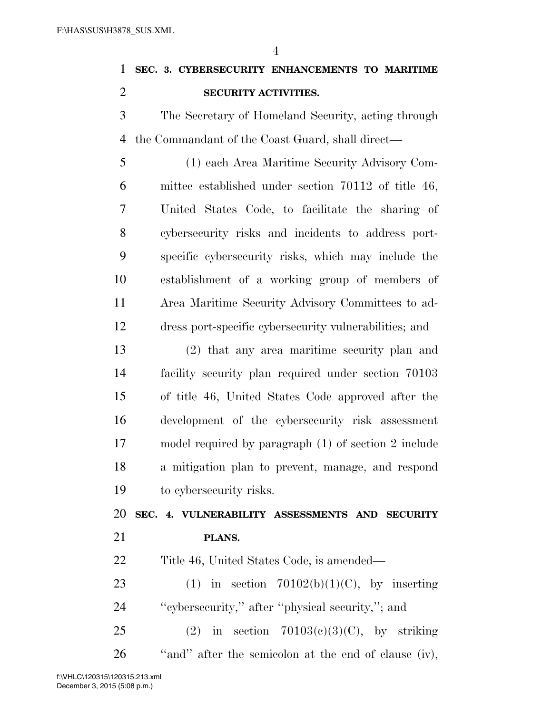### **SEC. 3. CYBERSECURITY ENHANCEMENTS TO MARITIME SECURITY ACTIVITIES.**

 The Secretary of Homeland Security, acting through the Commandant of the Coast Guard, shall direct—

 (1) each Area Maritime Security Advisory Com- mittee established under section 70112 of title 46, United States Code, to facilitate the sharing of cybersecurity risks and incidents to address port- specific cybersecurity risks, which may include the establishment of a working group of members of Area Maritime Security Advisory Committees to ad-dress port-specific cybersecurity vulnerabilities; and

 (2) that any area maritime security plan and facility security plan required under section 70103 of title 46, United States Code approved after the development of the cybersecurity risk assessment model required by paragraph (1) of section 2 include a mitigation plan to prevent, manage, and respond to cybersecurity risks.

**SEC. 4. VULNERABILITY ASSESSMENTS AND SECURITY** 

**PLANS.** 

Title 46, United States Code, is amended—

23 (1) in section  $70102(b)(1)(C)$ , by inserting ''cybersecurity,'' after ''physical security,''; and

25 (2) in section  $70103(e)(3)(C)$ , by striking 26 "and" after the semicolon at the end of clause (iv),